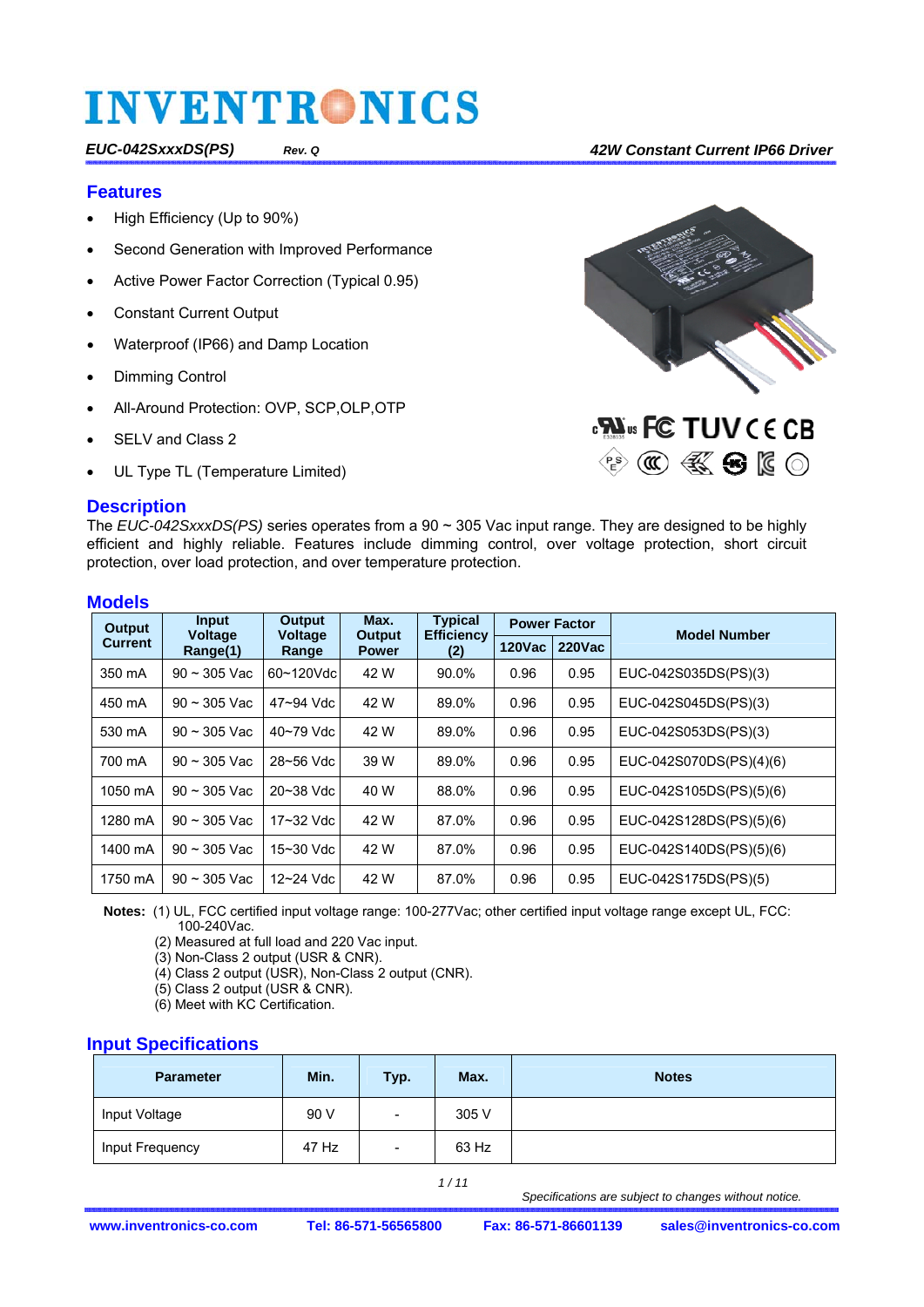#### *EUC-042SxxxDS(PS) Rev. Q 42W Constant Current IP66 Driver*

#### **Features**

- High Efficiency (Up to 90%)
- Second Generation with Improved Performance
- Active Power Factor Correction (Typical 0.95)
- Constant Current Output
- Waterproof (IP66) and Damp Location
- Dimming Control
- All-Around Protection: OVP, SCP,OLP,OTP
- SELV and Class 2
- UL Type TL (Temperature Limited)



The *EUC-042SxxxDS(PS)* series operates from a 90 ~ 305 Vac input range. They are designed to be highly efficient and highly reliable. Features include dimming control, over voltage protection, short circuit protection, over load protection, and over temperature protection.

### **Models**

| Output  | <b>Input</b>        | Output<br><b>Voltage</b> | Max.                   | <b>Typical</b>           |               | <b>Power Factor</b> | <b>Model Number</b>     |  |
|---------|---------------------|--------------------------|------------------------|--------------------------|---------------|---------------------|-------------------------|--|
| Current | Voltage<br>Range(1) | Range                    | Output<br><b>Power</b> | <b>Efficiency</b><br>(2) | <b>120Vac</b> | <b>220Vac</b>       |                         |  |
| 350 mA  | $90 - 305$ Vac      | 60~120Vdcl               | 42 W                   | 90.0%                    | 0.96          | 0.95                | EUC-042S035DS(PS)(3)    |  |
| 450 mA  | $90 - 305$ Vac      | 47~94 Vdc                | 42 W                   | 89.0%                    | 0.96          | 0.95                | EUC-042S045DS(PS)(3)    |  |
| 530 mA  | $90 - 305$ Vac      | 40~79 Vdc                | 42 W                   | 89.0%                    | 0.96          | 0.95                | EUC-042S053DS(PS)(3)    |  |
| 700 mA  | $90 - 305$ Vac      | 28~56 Vdc                | 39 W                   | 89.0%                    | 0.96          | 0.95                | EUC-042S070DS(PS)(4)(6) |  |
| 1050 mA | $90 \sim 305$ Vac   | $20 - 38$ Vdc            | 40 W                   | 88.0%                    | 0.96          | 0.95                | EUC-042S105DS(PS)(5)(6) |  |
| 1280 mA | $90 \sim 305$ Vac   | 17~32 Vdc                | 42 W                   | 87.0%                    | 0.96          | 0.95                | EUC-042S128DS(PS)(5)(6) |  |
| 1400 mA | $90 \sim 305$ Vac   | $15 - 30$ Vdc            | 42 W                   | 87.0%                    | 0.96          | 0.95                | EUC-042S140DS(PS)(5)(6) |  |
| 1750 mA | $90 - 305$ Vac      | $12 - 24$ Vdc            | 42 W                   | 87.0%                    | 0.96          | 0.95                | EUC-042S175DS(PS)(5)    |  |

 **Notes:** (1) UL, FCC certified input voltage range: 100-277Vac; other certified input voltage range except UL, FCC: 100-240Vac.

(2) Measured at full load and 220 Vac input.

(3) Non-Class 2 output (USR & CNR).

(4) Class 2 output (USR), Non-Class 2 output (CNR).

(5) Class 2 output (USR & CNR).

(6) Meet with KC Certification.

### **Input Specifications**

| <b>Parameter</b> | Min.  | Typ.           | Max.  | <b>Notes</b> |
|------------------|-------|----------------|-------|--------------|
| Input Voltage    | 90 V  | $\blacksquare$ | 305 V |              |
| Input Frequency  | 47 Hz | $\blacksquare$ | 63 Hz |              |

 *1 / 11*

 *Specifications are subject to changes without notice.* 



 $\circledR \circledR$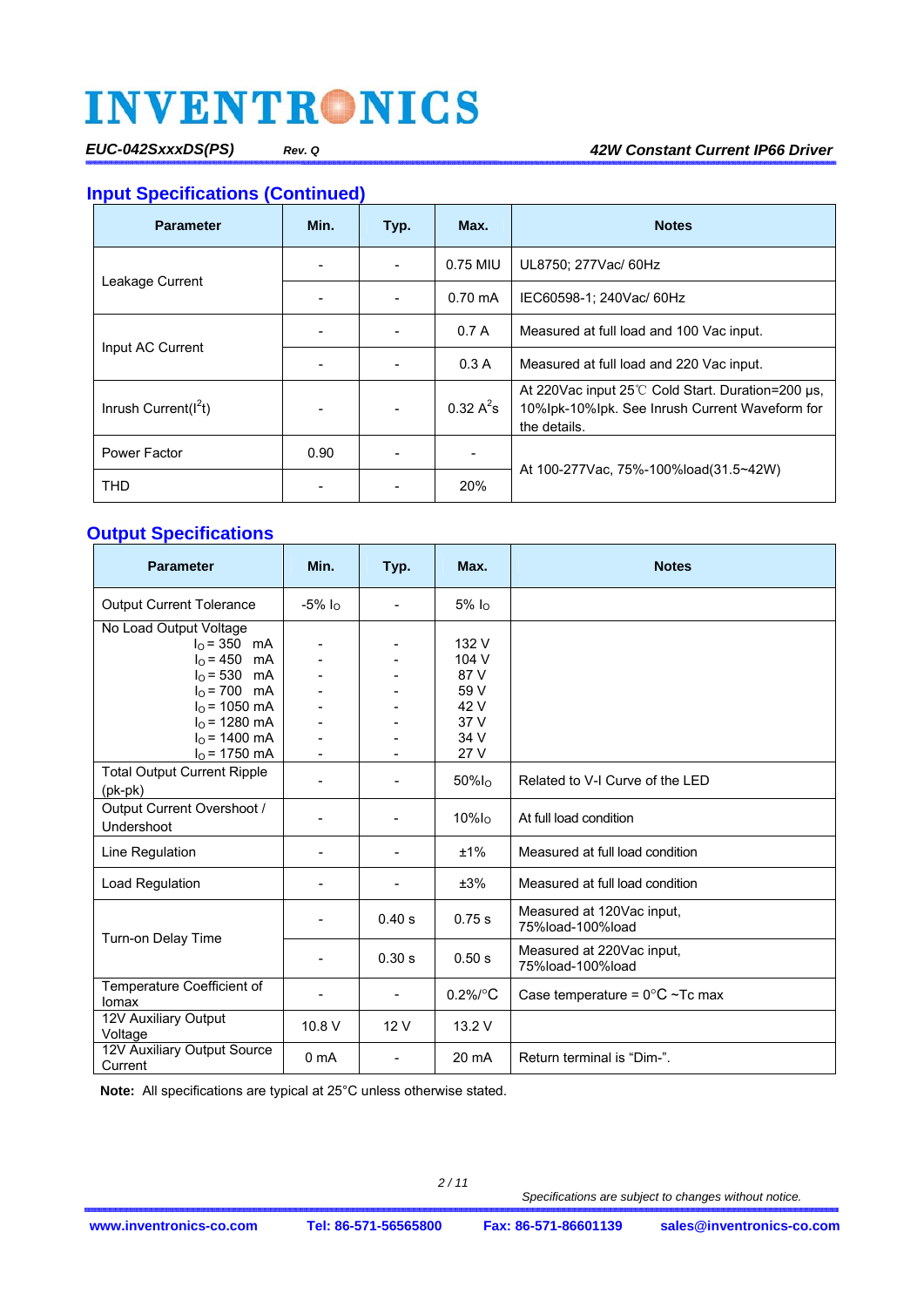*EUC-042SxxxDS(PS) Rev. Q 42W Constant Current IP66 Driver*

## **Input Specifications (Continued)**

| <b>Parameter</b>        | Min. | Typ.                             | Max.                       | <b>Notes</b>                                                                                                          |
|-------------------------|------|----------------------------------|----------------------------|-----------------------------------------------------------------------------------------------------------------------|
|                         |      | 0.75 MIU<br>UL8750; 277Vac/ 60Hz |                            |                                                                                                                       |
| Leakage Current         |      |                                  | $0.70 \text{ mA}$          | IEC60598-1; 240Vac/ 60Hz                                                                                              |
|                         |      |                                  | 0.7A                       | Measured at full load and 100 Vac input.                                                                              |
| Input AC Current        |      |                                  | 0.3A                       | Measured at full load and 220 Vac input.                                                                              |
| Inrush Current( $I2t$ ) |      |                                  | $0.32 \text{ A}^2\text{s}$ | At 220 Vac input 25 °C Cold Start. Duration=200 us.<br>10%lpk-10%lpk. See Inrush Current Waveform for<br>the details. |
| Power Factor            | 0.90 |                                  |                            |                                                                                                                       |
| THD                     |      |                                  | 20%                        | At 100-277 Vac. 75%-100% load (31.5~42W)                                                                              |

### **Output Specifications**

| <b>Parameter</b>                                                                                                                                                      | Min.                                                         | Typ.                     | Max.                                                           | <b>Notes</b>                                  |
|-----------------------------------------------------------------------------------------------------------------------------------------------------------------------|--------------------------------------------------------------|--------------------------|----------------------------------------------------------------|-----------------------------------------------|
| <b>Output Current Tolerance</b>                                                                                                                                       | $-5\%$ $I_{\Omega}$                                          | $\overline{\phantom{a}}$ | $5%$ $IO$                                                      |                                               |
| No Load Output Voltage<br>$I_0 = 350$ mA<br>$IO = 450$ mA<br>$I_0 = 530$ mA<br>$I_0 = 700$ mA<br>$I0$ = 1050 mA<br>$I0$ = 1280 mA<br>$IO$ = 1400 mA<br>$IO$ = 1750 mA | $\blacksquare$<br>$\overline{\phantom{m}}$<br>$\blacksquare$ |                          | 132 V<br>104 V<br>87 V<br>59 V<br>42 V<br>37 V<br>34 V<br>27 V |                                               |
| <b>Total Output Current Ripple</b><br>$(pk-pk)$                                                                                                                       |                                                              |                          | $50\%$ <sub>lo</sub>                                           | Related to V-I Curve of the LED               |
| Output Current Overshoot /<br>Undershoot                                                                                                                              |                                                              |                          | $10\%$ lo                                                      | At full load condition                        |
| Line Regulation                                                                                                                                                       |                                                              |                          | ±1%                                                            | Measured at full load condition               |
| Load Regulation                                                                                                                                                       |                                                              |                          | ±3%                                                            | Measured at full load condition               |
|                                                                                                                                                                       | $\blacksquare$                                               | 0.40 s                   | 0.75 s                                                         | Measured at 120Vac input,<br>75%load-100%load |
| Turn-on Delay Time                                                                                                                                                    |                                                              | 0.30 s                   | 0.50 s                                                         | Measured at 220Vac input.<br>75%load-100%load |
| Temperature Coefficient of<br>Iomax                                                                                                                                   |                                                              | $\blacksquare$           | $0.2\%$ <sup>°</sup> C                                         | Case temperature = $0^{\circ}$ C ~Tc max      |
| 12V Auxiliary Output<br>Voltage                                                                                                                                       | 10.8 V                                                       | 12V                      | 13.2 V                                                         |                                               |
| 12V Auxiliary Output Source<br>Current                                                                                                                                | 0 <sub>m</sub> A                                             | $\blacksquare$           | 20 mA                                                          | Return terminal is "Dim-".                    |

**Note:** All specifications are typical at 25°C unless otherwise stated.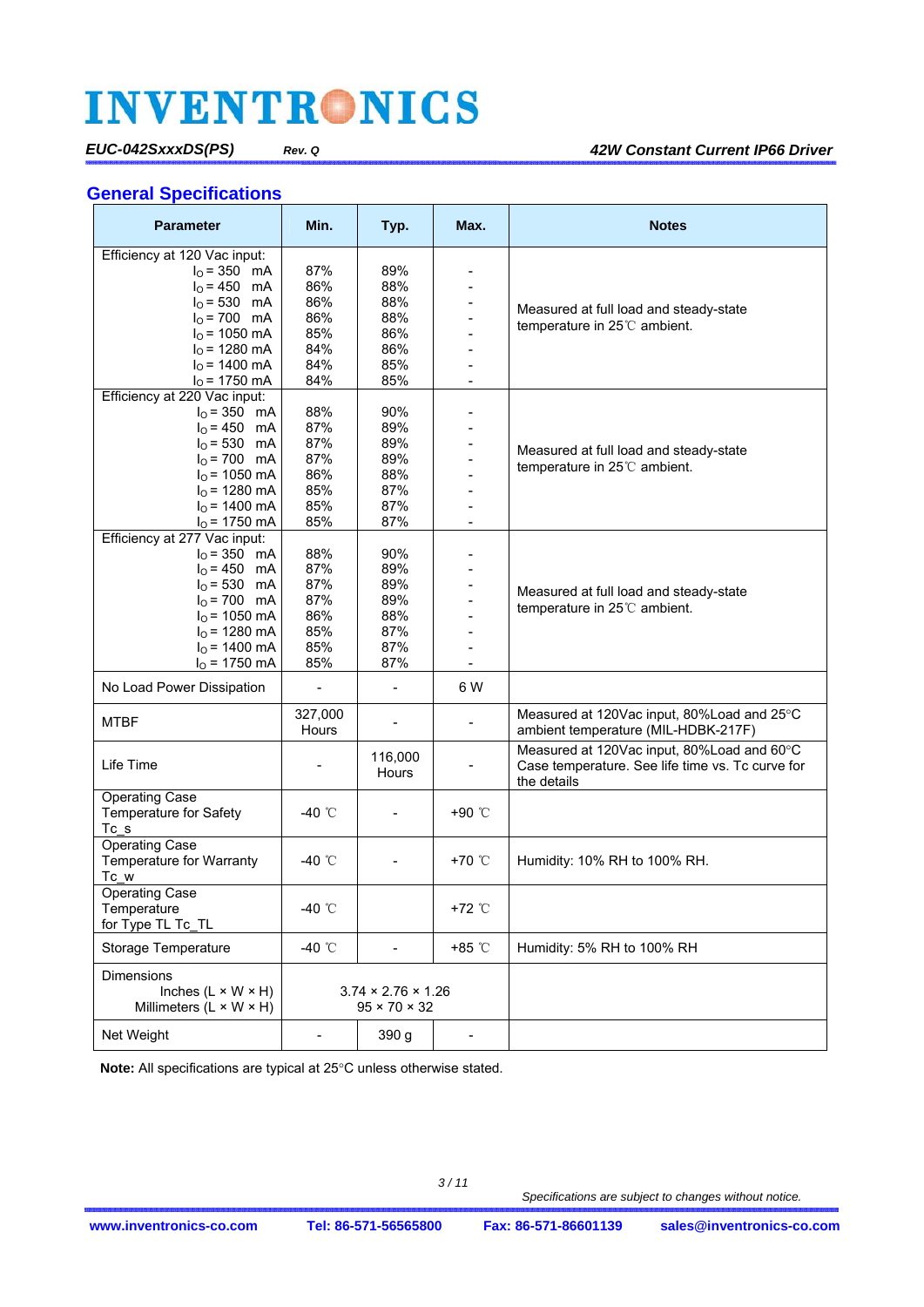### **General Specifications**

| <b>Parameter</b>                               | Min.                         | Typ.                           | Max.                     | <b>Notes</b>                                                                      |
|------------------------------------------------|------------------------------|--------------------------------|--------------------------|-----------------------------------------------------------------------------------|
| Efficiency at 120 Vac input:<br>$I_0 = 350$ mA | 87%                          | 89%                            |                          |                                                                                   |
| $I_{O} = 450$ mA                               | 86%                          | 88%                            |                          |                                                                                   |
|                                                |                              |                                |                          |                                                                                   |
| $I_0 = 530$ mA<br>$I_0 = 700$ mA               | 86%                          | 88%                            |                          | Measured at full load and steady-state                                            |
|                                                | 86%                          | 88%                            |                          | temperature in $25^{\circ}$ ambient.                                              |
| $I_0$ = 1050 mA                                | 85%                          | 86%                            |                          |                                                                                   |
| $IO$ = 1280 mA                                 | 84%                          | 86%                            |                          |                                                                                   |
| $I_0$ = 1400 mA                                | 84%                          | 85%                            |                          |                                                                                   |
| $IO$ = 1750 mA                                 | 84%                          | 85%                            | $\overline{\phantom{0}}$ |                                                                                   |
| Efficiency at 220 Vac input:                   |                              |                                |                          |                                                                                   |
| $I_0 = 350$ mA                                 | 88%                          | 90%                            |                          |                                                                                   |
| $I_0 = 450$ mA                                 | 87%                          | 89%                            |                          |                                                                                   |
| $I0 = 530$ mA                                  | 87%                          | 89%                            |                          | Measured at full load and steady-state                                            |
| $I_0 = 700$ mA                                 | 87%                          | 89%                            |                          | temperature in 25°C ambient.                                                      |
| $IO$ = 1050 mA                                 | 86%                          | 88%                            |                          |                                                                                   |
| $I0$ = 1280 mA                                 | 85%                          | 87%                            |                          |                                                                                   |
| $IO$ = 1400 mA                                 | 85%                          | 87%                            |                          |                                                                                   |
| $I0$ = 1750 mA                                 | 85%                          | 87%                            | $\blacksquare$           |                                                                                   |
| Efficiency at 277 Vac input:                   |                              |                                |                          |                                                                                   |
| $I_0 = 350$ mA                                 | 88%                          | 90%                            |                          |                                                                                   |
| $I_0 = 450$ mA                                 | 87%                          | 89%                            |                          |                                                                                   |
| $IO = 530$ mA                                  | 87%                          | 89%                            |                          | Measured at full load and steady-state                                            |
| $I_0 = 700$ mA                                 | 87%                          | 89%                            |                          |                                                                                   |
| $IO$ = 1050 mA                                 | 86%                          | 88%                            |                          | temperature in $25^{\circ}$ ambient.                                              |
| $I_0$ = 1280 mA                                | 85%                          | 87%                            | $\blacksquare$           |                                                                                   |
| $IO$ = 1400 mA                                 | 85%                          | 87%                            |                          |                                                                                   |
| $IO$ = 1750 mA                                 | 85%                          | 87%                            |                          |                                                                                   |
| No Load Power Dissipation                      | $\blacksquare$               | $\frac{1}{2}$                  | 6 W                      |                                                                                   |
| <b>MTBF</b>                                    | 327,000<br>Hours             |                                |                          | Measured at 120Vac input, 80%Load and 25°C<br>ambient temperature (MIL-HDBK-217F) |
|                                                |                              |                                |                          | Measured at 120Vac input, 80%Load and 60°C                                        |
| Life Time                                      |                              | 116,000<br>Hours               |                          | Case temperature. See life time vs. Tc curve for                                  |
|                                                |                              |                                |                          | the details                                                                       |
| <b>Operating Case</b>                          |                              |                                |                          |                                                                                   |
| Temperature for Safety                         | -40 ℃                        | $\overline{\phantom{a}}$       | +90 °C                   |                                                                                   |
| Tc s                                           |                              |                                |                          |                                                                                   |
| <b>Operating Case</b>                          |                              |                                |                          |                                                                                   |
| Temperature for Warranty                       | -40 ℃                        |                                | +70 °C                   | Humidity: 10% RH to 100% RH.                                                      |
| Tc w                                           |                              |                                |                          |                                                                                   |
| <b>Operating Case</b>                          |                              |                                |                          |                                                                                   |
| Temperature                                    | -40 $^{\circ}$ C             |                                | +72 °C                   |                                                                                   |
| for Type TL Tc_TL                              |                              |                                |                          |                                                                                   |
| Storage Temperature                            | -40 $^{\circ}$ C             | $\qquad \qquad \blacksquare$   | +85 °C                   | Humidity: 5% RH to 100% RH                                                        |
| Dimensions                                     |                              |                                |                          |                                                                                   |
| Inches $(L \times W \times H)$                 |                              | $3.74 \times 2.76 \times 1.26$ |                          |                                                                                   |
| Millimeters $(L \times W \times H)$            |                              | $95 \times 70 \times 32$       |                          |                                                                                   |
|                                                |                              |                                |                          |                                                                                   |
| Net Weight                                     | $\qquad \qquad \blacksquare$ | 390 g                          |                          |                                                                                   |

Note: All specifications are typical at 25°C unless otherwise stated.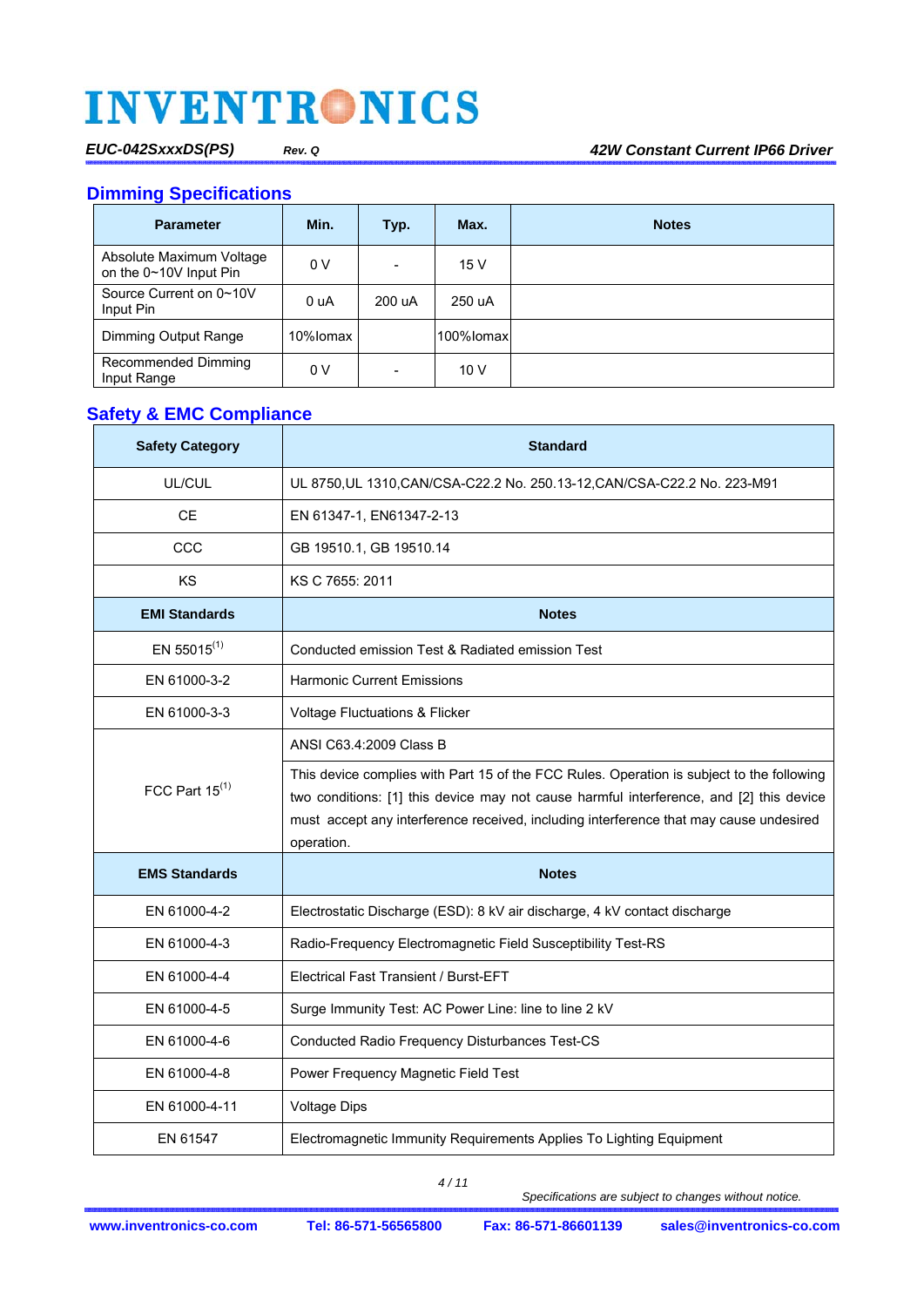**Dimming Specifications** 

| <b>Parameter</b>                                   | Min.     | Typ.   | Max.      | <b>Notes</b> |
|----------------------------------------------------|----------|--------|-----------|--------------|
| Absolute Maximum Voltage<br>on the 0~10V Input Pin | 0 V      | ۰      | 15 V      |              |
| Source Current on 0~10V<br>Input Pin               | 0 uA     | 200 uA | 250 uA    |              |
| Dimming Output Range                               | 10%lomax |        | 100%lomax |              |
| Recommended Dimming<br>Input Range                 | 0 V      | ۰      | 10V       |              |

## **Safety & EMC Compliance**

| <b>Safety Category</b> | <b>Standard</b>                                                                                                                                                                                                                                                                              |
|------------------------|----------------------------------------------------------------------------------------------------------------------------------------------------------------------------------------------------------------------------------------------------------------------------------------------|
| UL/CUL                 | UL 8750, UL 1310, CAN/CSA-C22.2 No. 250.13-12, CAN/CSA-C22.2 No. 223-M91                                                                                                                                                                                                                     |
| CЕ                     | EN 61347-1, EN61347-2-13                                                                                                                                                                                                                                                                     |
| CCC                    | GB 19510.1, GB 19510.14                                                                                                                                                                                                                                                                      |
| KS                     | KS C 7655: 2011                                                                                                                                                                                                                                                                              |
| <b>EMI Standards</b>   | <b>Notes</b>                                                                                                                                                                                                                                                                                 |
| EN 55015 $(1)$         | Conducted emission Test & Radiated emission Test                                                                                                                                                                                                                                             |
| EN 61000-3-2           | <b>Harmonic Current Emissions</b>                                                                                                                                                                                                                                                            |
| EN 61000-3-3           | Voltage Fluctuations & Flicker                                                                                                                                                                                                                                                               |
|                        | ANSI C63.4:2009 Class B                                                                                                                                                                                                                                                                      |
| FCC Part $15^{(1)}$    | This device complies with Part 15 of the FCC Rules. Operation is subject to the following<br>two conditions: [1] this device may not cause harmful interference, and [2] this device<br>must accept any interference received, including interference that may cause undesired<br>operation. |
| <b>EMS Standards</b>   | <b>Notes</b>                                                                                                                                                                                                                                                                                 |
| EN 61000-4-2           | Electrostatic Discharge (ESD): 8 kV air discharge, 4 kV contact discharge                                                                                                                                                                                                                    |
| EN 61000-4-3           | Radio-Frequency Electromagnetic Field Susceptibility Test-RS                                                                                                                                                                                                                                 |
| EN 61000-4-4           | Electrical Fast Transient / Burst-EFT                                                                                                                                                                                                                                                        |
| EN 61000-4-5           | Surge Immunity Test: AC Power Line: line to line 2 kV                                                                                                                                                                                                                                        |
| EN 61000-4-6           | Conducted Radio Frequency Disturbances Test-CS                                                                                                                                                                                                                                               |
| EN 61000-4-8           | Power Frequency Magnetic Field Test                                                                                                                                                                                                                                                          |
| EN 61000-4-11          | <b>Voltage Dips</b>                                                                                                                                                                                                                                                                          |
| EN 61547               | Electromagnetic Immunity Requirements Applies To Lighting Equipment                                                                                                                                                                                                                          |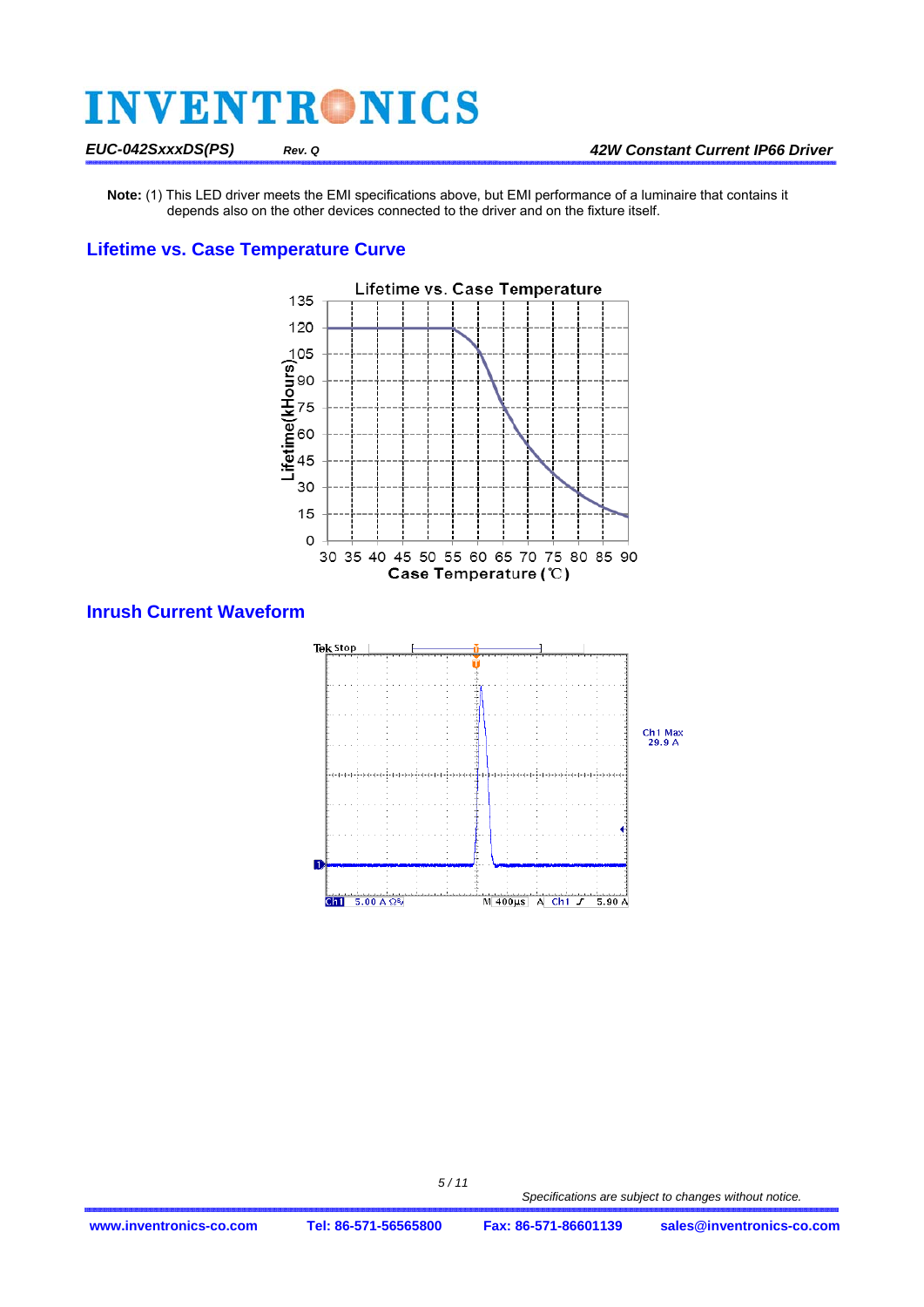**Note:** (1) This LED driver meets the EMI specifications above, but EMI performance of a luminaire that contains it depends also on the other devices connected to the driver and on the fixture itself.

### **Lifetime vs. Case Temperature Curve**



**Inrush Current Waveform** 

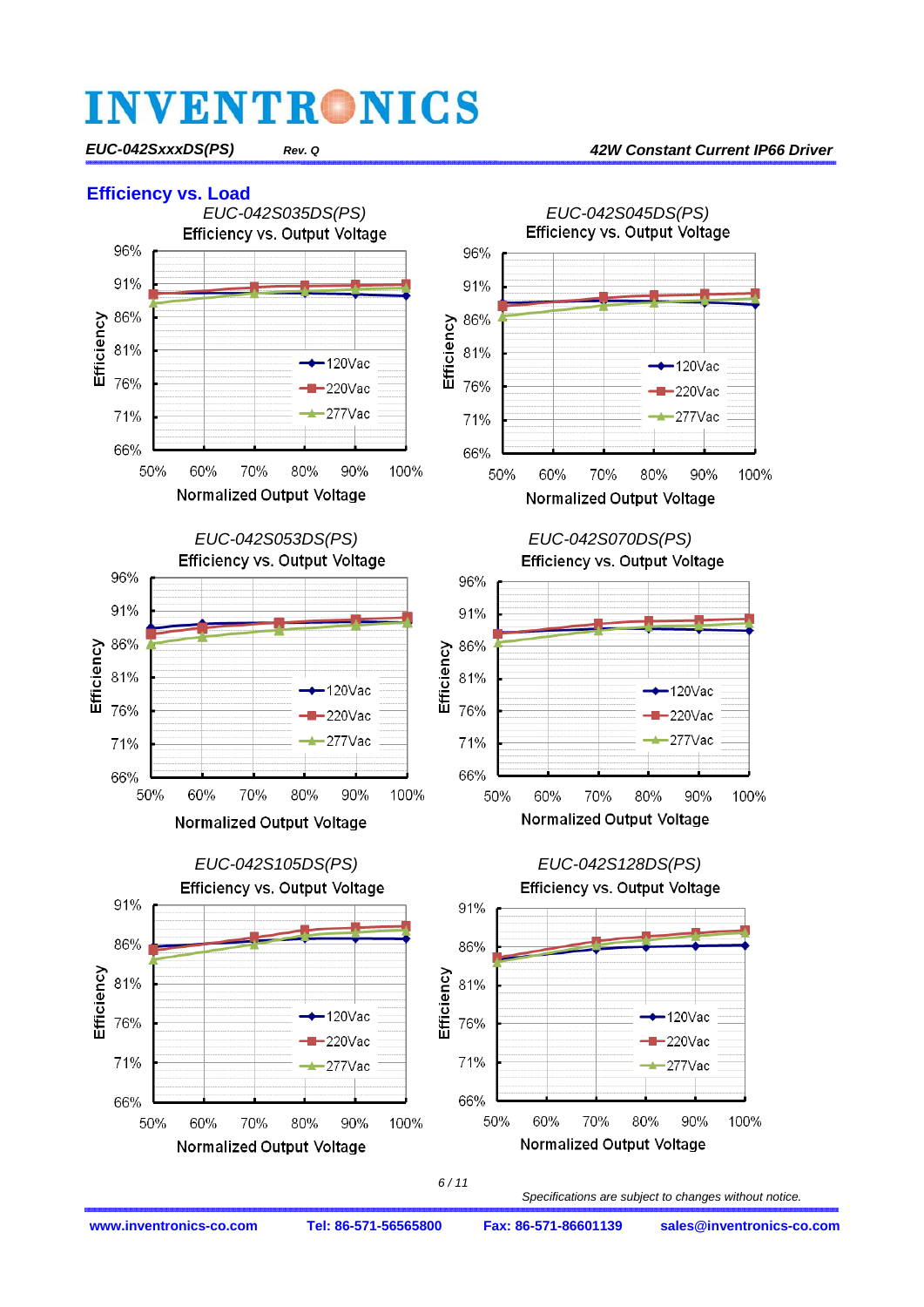*EUC-042SxxxDS(PS) Rev. Q 42W Constant Current IP66 Driver*

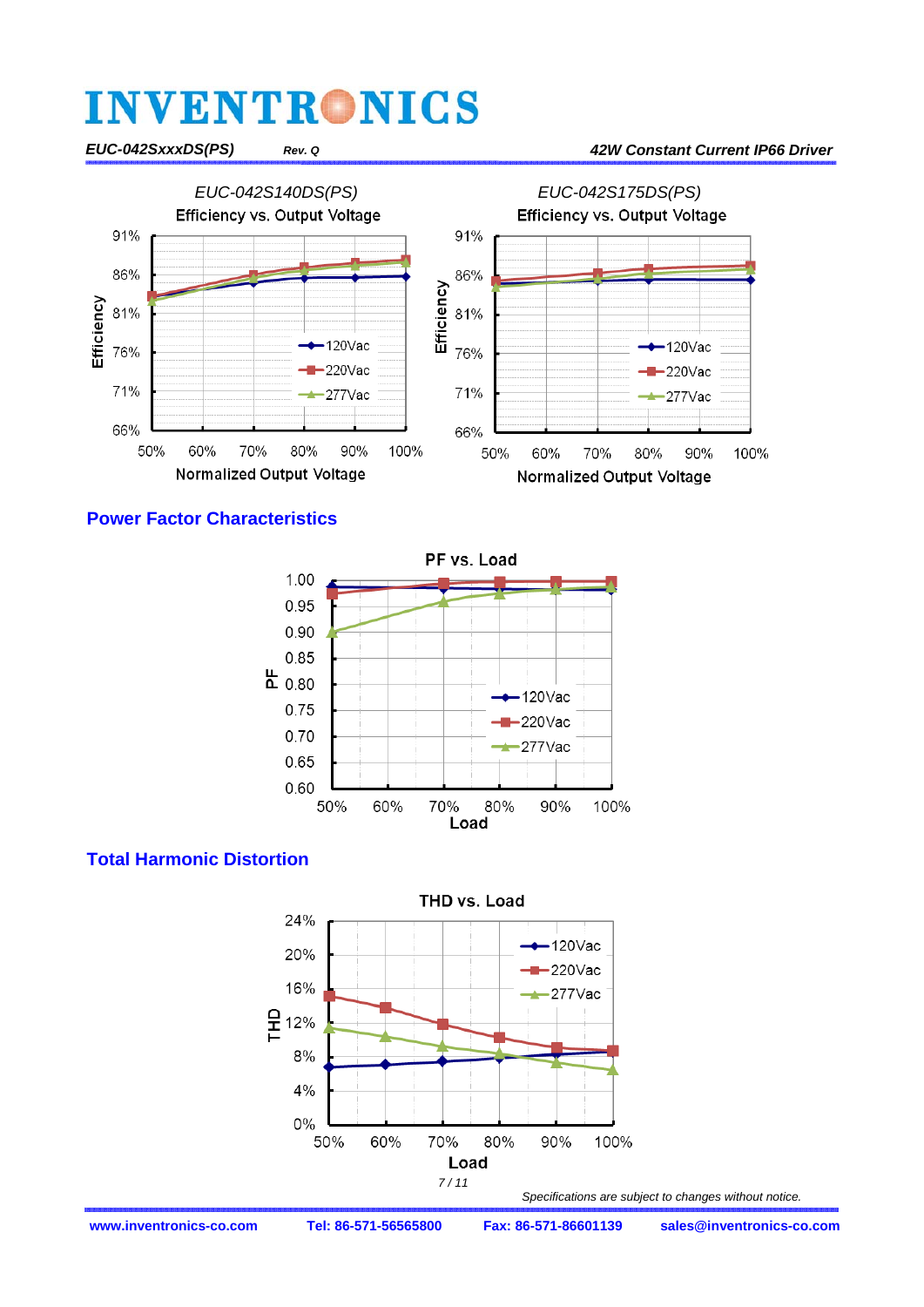#### *EUC-042SxxxDS(PS) Rev. Q 42W Constant Current IP66 Driver*



**Power Factor Characteristics** 



### **Total Harmonic Distortion**

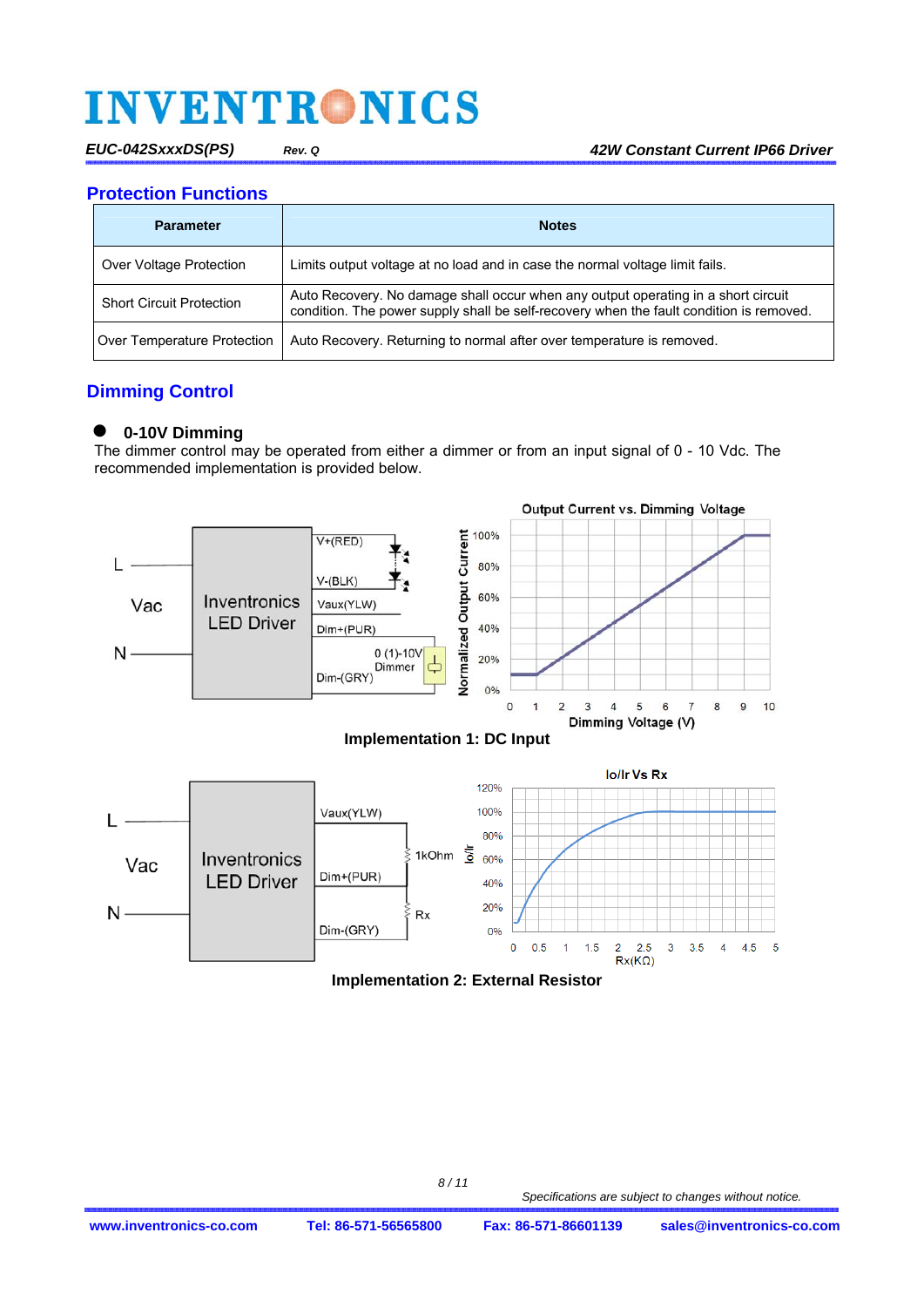*EUC-042SxxxDS(PS) Rev. Q 42W Constant Current IP66 Driver*

**Protection Functions** 

| <b>Parameter</b>                | <b>Notes</b>                                                                                                                                                                 |
|---------------------------------|------------------------------------------------------------------------------------------------------------------------------------------------------------------------------|
| Over Voltage Protection         | Limits output voltage at no load and in case the normal voltage limit fails.                                                                                                 |
| <b>Short Circuit Protection</b> | Auto Recovery. No damage shall occur when any output operating in a short circuit<br>condition. The power supply shall be self-recovery when the fault condition is removed. |
| Over Temperature Protection     | Auto Recovery. Returning to normal after over temperature is removed.                                                                                                        |

### **Dimming Control**

### **0-10V Dimming**

The dimmer control may be operated from either a dimmer or from an input signal of 0 - 10 Vdc. The recommended implementation is provided below.





 **Implementation 2: External Resistor**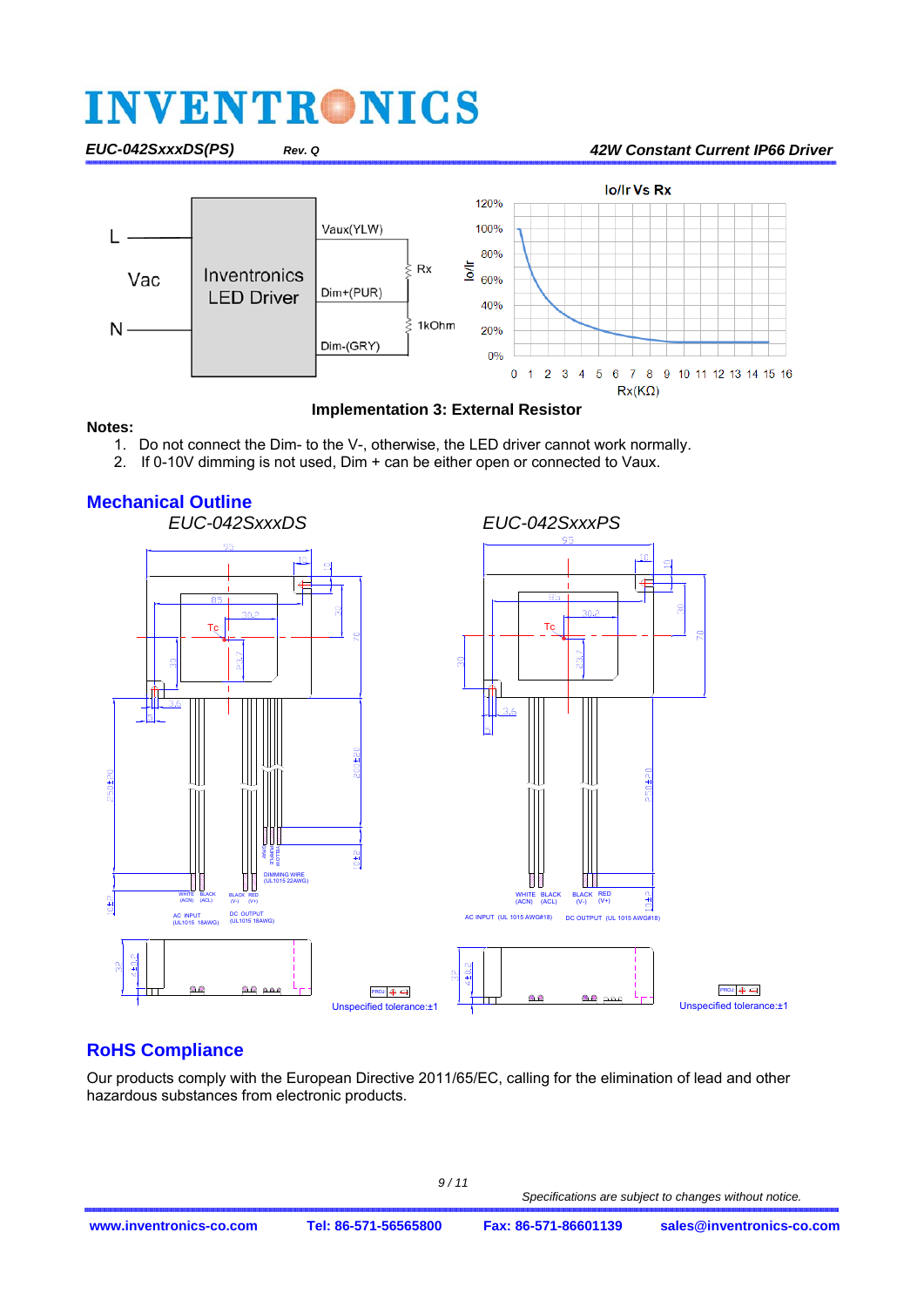#### *EUC-042SxxxDS(PS) Rev. Q 42W Constant Current IP66 Driver*



### **Implementation 3: External Resistor**

#### **Notes:**

- 1. Do not connect the Dim- to the V-, otherwise, the LED driver cannot work normally.
- 2. If 0-10V dimming is not used, Dim + can be either open or connected to Vaux.



### **RoHS Compliance**

Our products comply with the European Directive 2011/65/EC, calling for the elimination of lead and other hazardous substances from electronic products.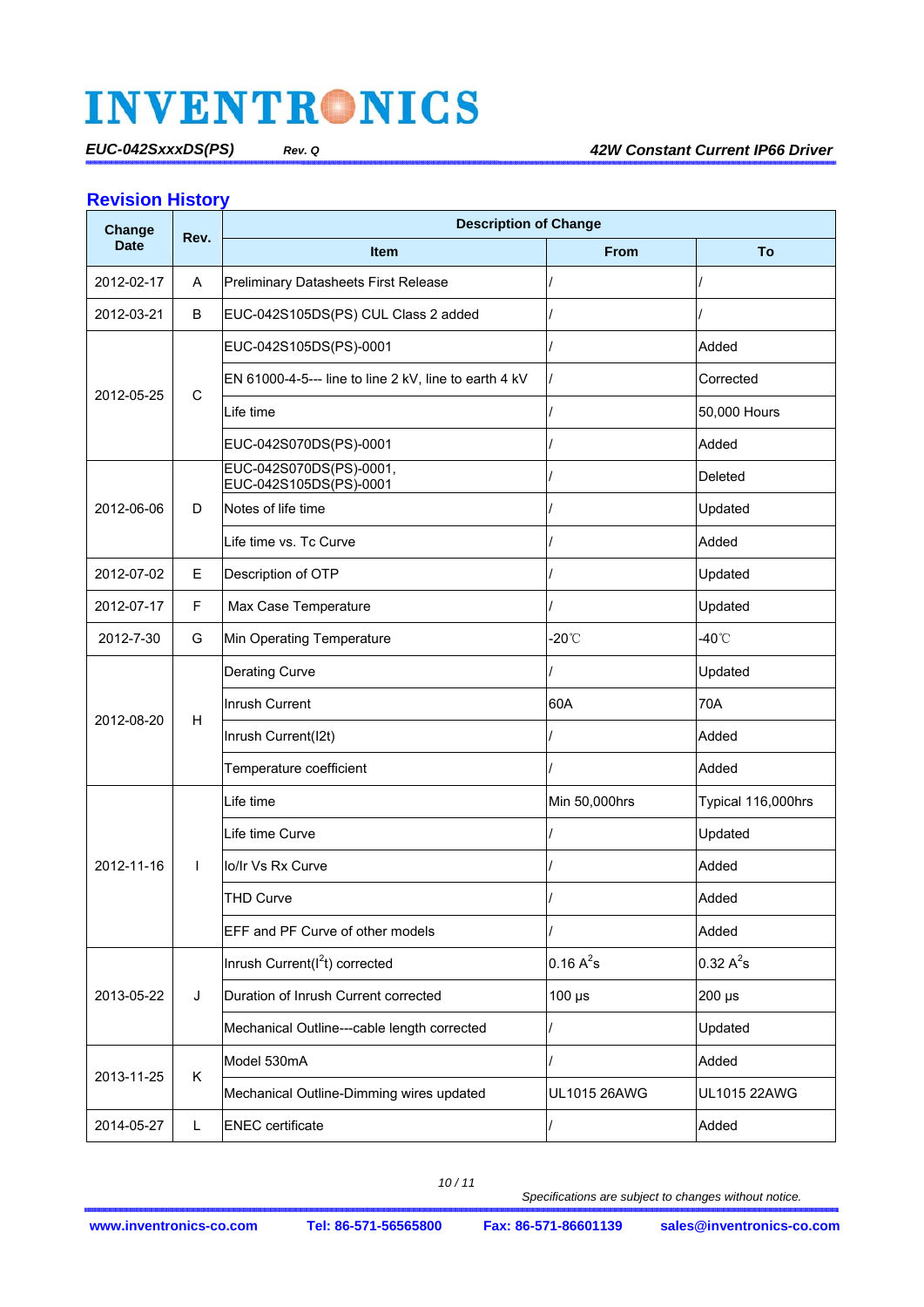### **Revision History**

| Change      | Rev.         | <b>Description of Change</b>                          |                 |                     |  |  |  |  |  |
|-------------|--------------|-------------------------------------------------------|-----------------|---------------------|--|--|--|--|--|
| <b>Date</b> |              | <b>Item</b>                                           | <b>From</b>     | To                  |  |  |  |  |  |
| 2012-02-17  | A            | Preliminary Datasheets First Release                  |                 |                     |  |  |  |  |  |
| 2012-03-21  | B            | EUC-042S105DS(PS) CUL Class 2 added                   |                 |                     |  |  |  |  |  |
|             |              | EUC-042S105DS(PS)-0001                                |                 | Added               |  |  |  |  |  |
| 2012-05-25  | C            | EN 61000-4-5--- line to line 2 kV, line to earth 4 kV |                 | Corrected           |  |  |  |  |  |
|             |              | Life time                                             |                 | 50,000 Hours        |  |  |  |  |  |
|             |              | EUC-042S070DS(PS)-0001                                |                 | Added               |  |  |  |  |  |
|             |              | EUC-042S070DS(PS)-0001,<br>EUC-042S105DS(PS)-0001     |                 | Deleted             |  |  |  |  |  |
| 2012-06-06  | D            | Notes of life time                                    |                 | Updated             |  |  |  |  |  |
|             |              | Life time vs. Tc Curve                                |                 | Added               |  |  |  |  |  |
| 2012-07-02  | E            | Description of OTP                                    |                 | Updated             |  |  |  |  |  |
| 2012-07-17  | F            | Max Case Temperature                                  |                 | Updated             |  |  |  |  |  |
| 2012-7-30   | G            | Min Operating Temperature                             | $-20^{\circ}$ C | -40°C               |  |  |  |  |  |
|             |              | Derating Curve                                        |                 | Updated             |  |  |  |  |  |
| 2012-08-20  |              | Inrush Current                                        | 60A             | 70A                 |  |  |  |  |  |
|             | H            | Inrush Current(I2t)                                   |                 | Added               |  |  |  |  |  |
|             |              | Temperature coefficient                               |                 | Added               |  |  |  |  |  |
|             |              | Life time                                             | Min 50,000hrs   | Typical 116,000hrs  |  |  |  |  |  |
|             |              | Life time Curve                                       |                 | Updated             |  |  |  |  |  |
| 2012-11-16  | $\mathsf{L}$ | lo/lr Vs Rx Curve                                     |                 | Added               |  |  |  |  |  |
|             |              | <b>THD Curve</b>                                      |                 | Added               |  |  |  |  |  |
|             |              | EFF and PF Curve of other models                      |                 | Added               |  |  |  |  |  |
|             |              | Inrush Current(I <sup>2</sup> t) corrected            | $0.16 A^2s$     | $0.32 A^2s$         |  |  |  |  |  |
| 2013-05-22  | J            | Duration of Inrush Current corrected                  | $100 \mu s$     | 200 µs              |  |  |  |  |  |
|             |              | Mechanical Outline---cable length corrected           |                 | Updated             |  |  |  |  |  |
| 2013-11-25  | K            | Model 530mA                                           |                 | Added               |  |  |  |  |  |
|             |              | Mechanical Outline-Dimming wires updated              | UL1015 26AWG    | <b>UL1015 22AWG</b> |  |  |  |  |  |
| 2014-05-27  | L            | <b>ENEC</b> certificate                               |                 | Added               |  |  |  |  |  |